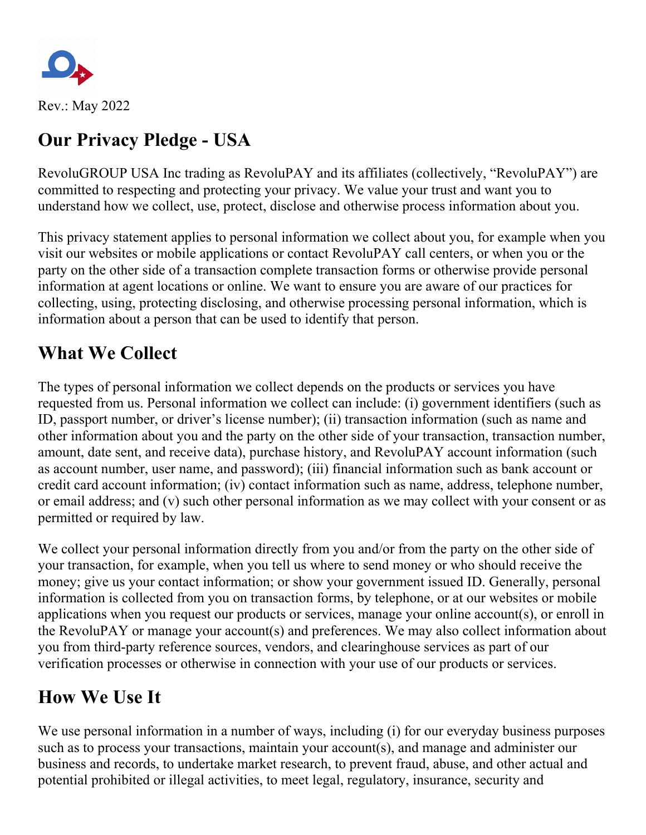

Rev.: May 2022

# **Our Privacy Pledge - USA**

RevoluGROUP USA Inc trading as RevoluPAY and its affiliates (collectively, "RevoluPAY") are committed to respecting and protecting your privacy. We value your trust and want you to understand how we collect, use, protect, disclose and otherwise process information about you.

This privacy statement applies to personal information we collect about you, for example when you visit our websites or mobile applications or contact RevoluPAY call centers, or when you or the party on the other side of a transaction complete transaction forms or otherwise provide personal information at agent locations or online. We want to ensure you are aware of our practices for collecting, using, protecting disclosing, and otherwise processing personal information, which is information about a person that can be used to identify that person.

#### **What We Collect**

The types of personal information we collect depends on the products or services you have requested from us. Personal information we collect can include: (i) government identifiers (such as ID, passport number, or driver's license number); (ii) transaction information (such as name and other information about you and the party on the other side of your transaction, transaction number, amount, date sent, and receive data), purchase history, and RevoluPAY account information (such as account number, user name, and password); (iii) financial information such as bank account or credit card account information; (iv) contact information such as name, address, telephone number, or email address; and (v) such other personal information as we may collect with your consent or as permitted or required by law.

We collect your personal information directly from you and/or from the party on the other side of your transaction, for example, when you tell us where to send money or who should receive the money; give us your contact information; or show your government issued ID. Generally, personal information is collected from you on transaction forms, by telephone, or at our websites or mobile applications when you request our products or services, manage your online account(s), or enroll in the RevoluPAY or manage your account(s) and preferences. We may also collect information about you from third-party reference sources, vendors, and clearinghouse services as part of our verification processes or otherwise in connection with your use of our products or services.

### **How We Use It**

We use personal information in a number of ways, including (i) for our everyday business purposes such as to process your transactions, maintain your account(s), and manage and administer our business and records, to undertake market research, to prevent fraud, abuse, and other actual and potential prohibited or illegal activities, to meet legal, regulatory, insurance, security and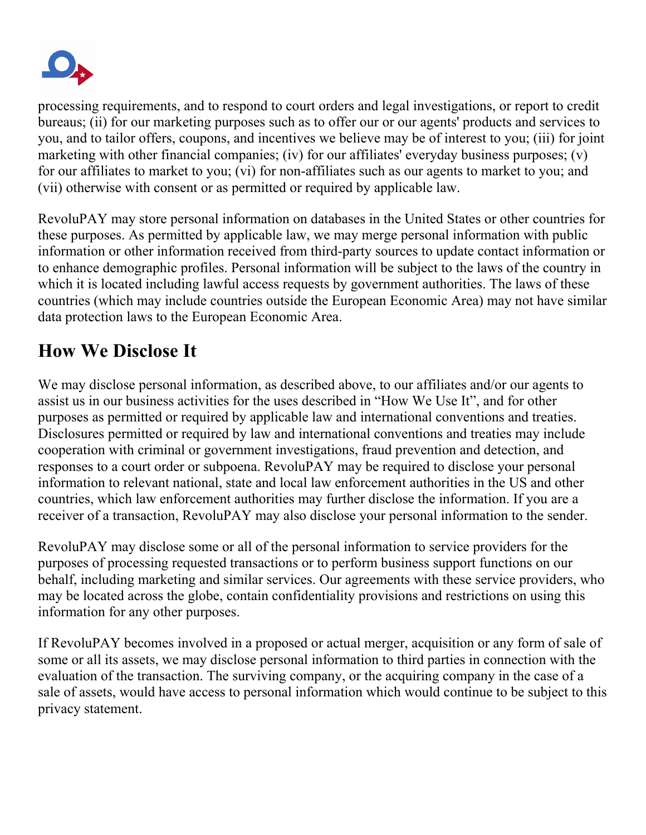

processing requirements, and to respond to court orders and legal investigations, or report to credit bureaus; (ii) for our marketing purposes such as to offer our or our agents' products and services to you, and to tailor offers, coupons, and incentives we believe may be of interest to you; (iii) for joint marketing with other financial companies; (iv) for our affiliates' everyday business purposes; (v) for our affiliates to market to you; (vi) for non-affiliates such as our agents to market to you; and (vii) otherwise with consent or as permitted or required by applicable law.

RevoluPAY may store personal information on databases in the United States or other countries for these purposes. As permitted by applicable law, we may merge personal information with public information or other information received from third-party sources to update contact information or to enhance demographic profiles. Personal information will be subject to the laws of the country in which it is located including lawful access requests by government authorities. The laws of these countries (which may include countries outside the European Economic Area) may not have similar data protection laws to the European Economic Area.

## **How We Disclose It**

We may disclose personal information, as described above, to our affiliates and/or our agents to assist us in our business activities for the uses described in "How We Use It", and for other purposes as permitted or required by applicable law and international conventions and treaties. Disclosures permitted or required by law and international conventions and treaties may include cooperation with criminal or government investigations, fraud prevention and detection, and responses to a court order or subpoena. RevoluPAY may be required to disclose your personal information to relevant national, state and local law enforcement authorities in the US and other countries, which law enforcement authorities may further disclose the information. If you are a receiver of a transaction, RevoluPAY may also disclose your personal information to the sender.

RevoluPAY may disclose some or all of the personal information to service providers for the purposes of processing requested transactions or to perform business support functions on our behalf, including marketing and similar services. Our agreements with these service providers, who may be located across the globe, contain confidentiality provisions and restrictions on using this information for any other purposes.

If RevoluPAY becomes involved in a proposed or actual merger, acquisition or any form of sale of some or all its assets, we may disclose personal information to third parties in connection with the evaluation of the transaction. The surviving company, or the acquiring company in the case of a sale of assets, would have access to personal information which would continue to be subject to this privacy statement.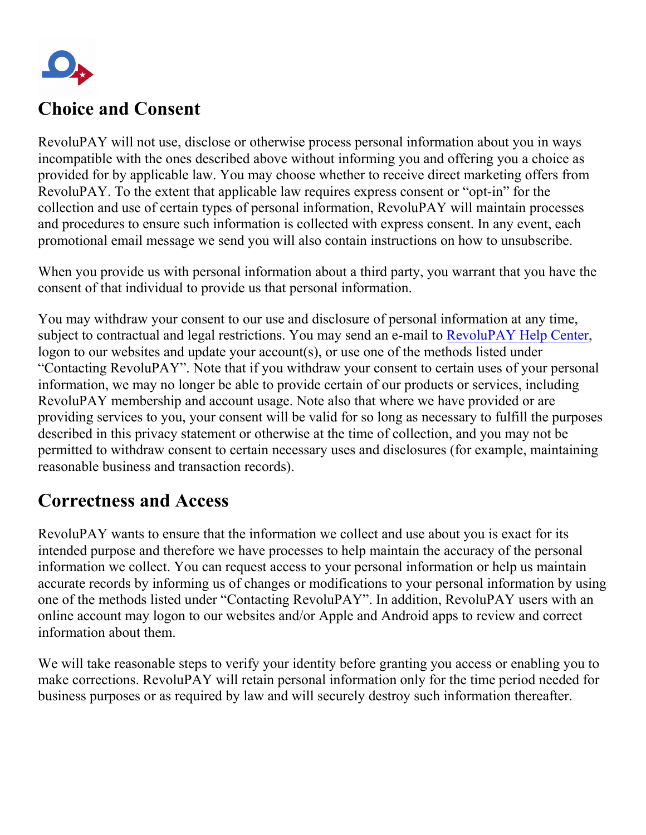

### **Choice and Consent**

RevoluPAY will not use, disclose or otherwise process personal information about you in ways incompatible with the ones described above without informing you and offering you a choice as provided for by applicable law. You may choose whether to receive direct marketing offers from RevoluPAY. To the extent that applicable law requires express consent or "opt-in" for the collection and use of certain types of personal information, RevoluPAY will maintain processes and procedures to ensure such information is collected with express consent. In any event, each promotional email message we send you will also contain instructions on how to unsubscribe.

When you provide us with personal information about a third party, you warrant that you have the consent of that individual to provide us that personal information.

You may withdraw your consent to our use and disclosure of personal information at any time, subject to contractual and legal restrictions. You may send an e-mail to [RevoluPAY Help Center,](https://revolupay.zendesk.com/hc/en-us) logon to our websites and update your account(s), or use one of the methods listed under "Contacting RevoluPAY". Note that if you withdraw your consent to certain uses of your personal information, we may no longer be able to provide certain of our products or services, including RevoluPAY membership and account usage. Note also that where we have provided or are providing services to you, your consent will be valid for so long as necessary to fulfill the purposes described in this privacy statement or otherwise at the time of collection, and you may not be permitted to withdraw consent to certain necessary uses and disclosures (for example, maintaining reasonable business and transaction records).

#### **Correctness and Access**

RevoluPAY wants to ensure that the information we collect and use about you is exact for its intended purpose and therefore we have processes to help maintain the accuracy of the personal information we collect. You can request access to your personal information or help us maintain accurate records by informing us of changes or modifications to your personal information by using one of the methods listed under "Contacting RevoluPAY". In addition, RevoluPAY users with an online account may logon to our websites and/or Apple and Android apps to review and correct information about them.

We will take reasonable steps to verify your identity before granting you access or enabling you to make corrections. RevoluPAY will retain personal information only for the time period needed for business purposes or as required by law and will securely destroy such information thereafter.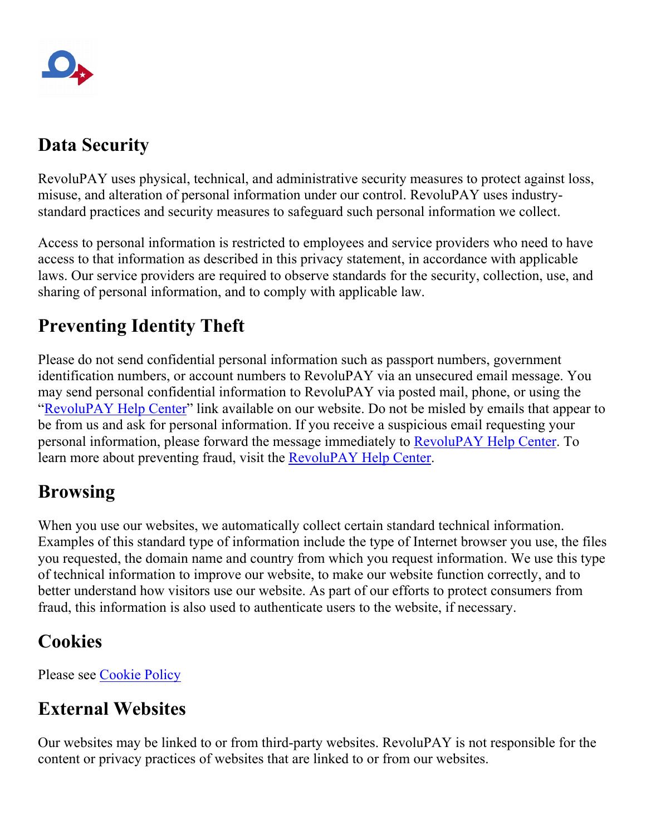# **Data Security**

RevoluPAY uses physical, technical, and administrative security measures to protect against loss, misuse, and alteration of personal information under our control. RevoluPAY uses industrystandard practices and security measures to safeguard such personal information we collect.

Access to personal information is restricted to employees and service providers who need to have access to that information as described in this privacy statement, in accordance with applicable laws. Our service providers are required to observe standards for the security, collection, use, and sharing of personal information, and to comply with applicable law.

# **Preventing Identity Theft**

Please do not send confidential personal information such as passport numbers, government identification numbers, or account numbers to RevoluPAY via an unsecured email message. You may send personal confidential information to RevoluPAY via posted mail, phone, or using the ["RevoluPAY Help Center"](https://revolupay.zendesk.com/hc/en-us) link available on our website. Do not be misled by emails that appear to be from us and ask for personal information. If you receive a suspicious email requesting your personal information, please forward the message immediately to [RevoluPAY Help Center.](https://revolupay.zendesk.com/hc/en-us) To learn more about preventing fraud, visit the [RevoluPAY Help Center.](https://revolupay.zendesk.com/hc/en-us)

### **Browsing**

When you use our websites, we automatically collect certain standard technical information. Examples of this standard type of information include the type of Internet browser you use, the files you requested, the domain name and country from which you request information. We use this type of technical information to improve our website, to make our website function correctly, and to better understand how visitors use our website. As part of our efforts to protect consumers from fraud, this information is also used to authenticate users to the website, if necessary.

### **Cookies**

Please see [Cookie Policy](https://www.revolupay.es/privacy)

# **External Websites**

Our websites may be linked to or from third-party websites. RevoluPAY is not responsible for the content or privacy practices of websites that are linked to or from our websites.